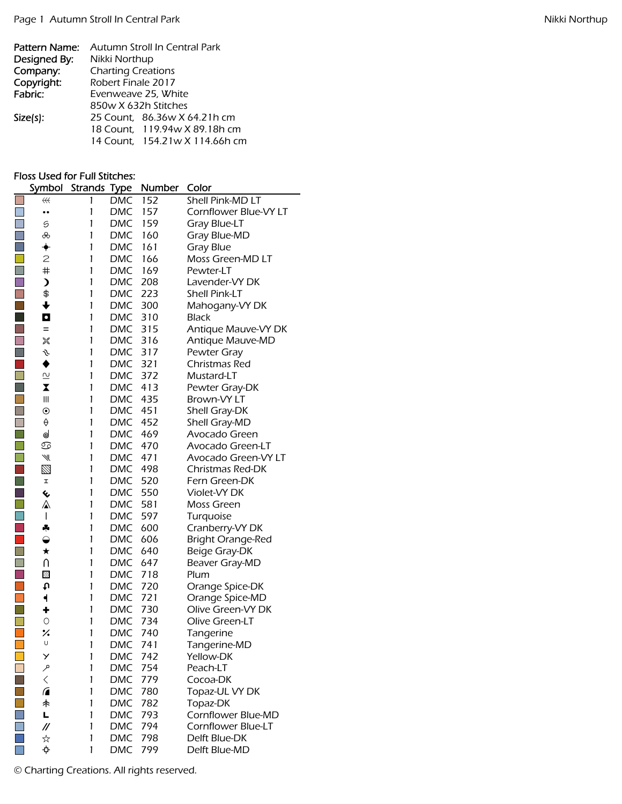| Pattern Name: | Autumn Stroll In Central Park  |
|---------------|--------------------------------|
| Designed By:  | Nikki Northup                  |
| Company:      | <b>Charting Creations</b>      |
| Copyright:    | Robert Finale 2017             |
| Fabric:       | Evenweave 25, White            |
|               | 850w X 632h Stitches           |
| $Size(s)$ :   | 25 Count, 86.36w X 64.21h cm   |
|               | 18 Count, 119.94w X 89.18h cm  |
|               | 14 Count, 154.21w X 114.66h cm |

## Floss Used for Full Stitches:

|                             | Symbol                  | <b>Strands</b> | <b>Type</b> | Number | Color                    |
|-----------------------------|-------------------------|----------------|-------------|--------|--------------------------|
|                             | $\#$                    | 1              | <b>DMC</b>  | 152    | Shell Pink-MD LT         |
|                             |                         | 1              | <b>DMC</b>  | 157    | Cornflower Blue-VY LT    |
| $\mathbb{R}^n$              | 5                       | 1              | DMC         | 159    | <b>Gray Blue-LT</b>      |
|                             | ൿ                       | 1              | <b>DMC</b>  | 160    | Gray Blue-MD             |
|                             | ✦                       | 1              | <b>DMC</b>  | 161    | Gray Blue                |
|                             | $\mathbf{Z}$            | 1              | <b>DMC</b>  | 166    | Moss Green-MD LT         |
| $\Box$                      | #                       | 1              | DMC         | 169    | Pewter-LT                |
|                             | $\lambda$               | 1              | DMC         | 208    | Lavender-VY DK           |
| $\Box$                      | \$                      | $\mathbf{1}$   | <b>DMC</b>  | 223    | <b>Shell Pink-LT</b>     |
| $\mathcal{L}_{\mathcal{A}}$ | $\ddagger$              | 1              | <b>DMC</b>  | 300    | Mahogany-VY DK           |
| $\mathcal{L}_{\mathcal{A}}$ | $\bullet$               | 1              | <b>DMC</b>  | 310    | <b>Black</b>             |
|                             | $=$                     | 1              | DMC         | 315    | Antique Mauve-VY DK      |
| $\mathbb{Z}$                | ※                       | 1              | <b>DMC</b>  | 316    | Antique Mauve-MD         |
|                             | s                       | 1              | <b>DMC</b>  | 317    | Pewter Gray              |
| $\mathcal{L}_{\mathcal{A}}$ | ♦                       | 1              | DMC         | 321    | Christmas Red            |
|                             | $\overline{\mathsf{C}}$ | 1              | <b>DMC</b>  | 372    | Mustard-LT               |
|                             | X                       | 1              | <b>DMC</b>  | 413    | Pewter Gray-DK           |
|                             | $\mathbf{III}$          | 1              | DMC         | 435    | Brown-VY LT              |
|                             | $\odot$                 | 1              | DMC         | 451    | Shell Gray-DK            |
|                             | $\Theta$                | 1              | <b>DMC</b>  | 452    | Shell Gray-MD            |
|                             | ⊌                       | 1              | DMC         | 469    | Avocado Green            |
|                             | ♋                       | 1              | <b>DMC</b>  | 470    | Avocado Green-LT         |
|                             | ₩                       | 1              | <b>DMC</b>  | 471    | Avocado Green-VY LT      |
| $\mathcal{L}_{\mathcal{A}}$ | $\boxtimes$             | 1              | <b>DMC</b>  | 498    | <b>Christmas Red-DK</b>  |
| $\Box$                      | I                       | 1              | <b>DMC</b>  | 520    | Fern Green-DK            |
|                             | ℅                       | 1              | <b>DMC</b>  | 550    | Violet-VY DK             |
| $\Box$                      | ⚠                       | 1              | <b>DMC</b>  | 581    | Moss Green               |
|                             | I                       | 1              | DMC         | 597    | Turquoise                |
| $\mathcal{L}_{\mathcal{A}}$ | ÷                       | 1              | <b>DMC</b>  | 600    | Cranberry-VY DK          |
|                             | $\bigcirc$              | 1              | <b>DMC</b>  | 606    | <b>Bright Orange-Red</b> |
| П                           | $\star$                 | 1              | <b>DMC</b>  | 640    | Beige Gray-DK            |
|                             | U                       | 1              | DMC         | 647    | Beaver Gray-MD           |
|                             | 飂                       | 1              | <b>DMC</b>  | 718    | Plum                     |
|                             | t                       | 1              | <b>DMC</b>  | 720    | Orange Spice-DK          |
| $\Box$                      | ┥                       | $\mathbf{1}$   | <b>DMC</b>  | 721    | Orange Spice-MD          |
|                             | ٠                       | 1              | <b>DMC</b>  | 730    | Olive Green-VY DK        |
|                             | $\circ$                 | 1              | DMC         | 734    | Olive Green-LT           |
| $\Box$                      | ℅                       | 1              | DMC         | 740    | Tangerine                |
|                             | U                       | 1              | <b>DMC</b>  | 741    | Tangerine-MD             |
|                             | У                       | 1              | <b>DMC</b>  | 742    | Yellow-DK                |
|                             | مر                      | 1              | <b>DMC</b>  | 754    | Peach-LT                 |
|                             | $\lt$                   | 1              | DMC         | 779    | Cocoa-DK                 |
|                             | $\sqrt{2}$              | 1              | <b>DMC</b>  | 780    | Topaz-UL VY DK           |
|                             | 未                       | 1              | <b>DMC</b>  | 782    | Topaz-DK                 |
|                             | Ц                       | 1              | <b>DMC</b>  | 793    | Cornflower Blue-MD       |
|                             | $^{\prime\prime}$       | 1              | <b>DMC</b>  | 794    | Cornflower Blue-LT       |
|                             | ☆                       | $\mathbf{1}$   | <b>DMC</b>  | 798    | Delft Blue-DK            |
|                             | ф.                      | 1              | <b>DMC</b>  | 799    | Delft Blue-MD            |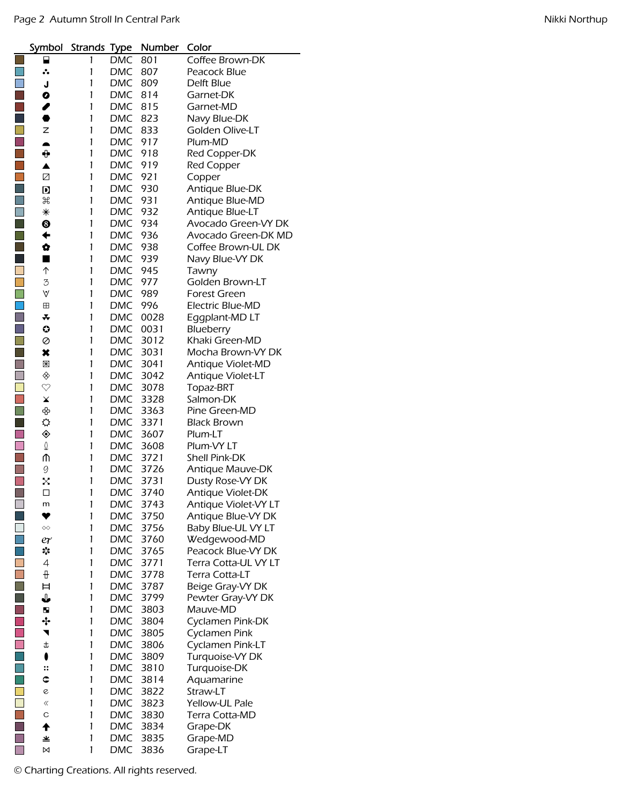|     | Symbol                      | Strands Type |            | Number | Color                |
|-----|-----------------------------|--------------|------------|--------|----------------------|
|     |                             | 1            | <b>DMC</b> | 801    | Coffee Brown-DK      |
|     | ∴.                          | 1            | DMC        | 807    | Peacock Blue         |
|     | J                           | 1            | <b>DMC</b> | 809    | Delft Blue           |
|     | O                           | 1            | DMC        | 814    | Garnet-DK            |
|     | {                           | 1            | DMC        | 815    | Garnet-MD            |
|     | ●                           | 1            | DMC        | 823    | Navy Blue-DK         |
|     | z                           | 1            | <b>DMC</b> | 833    | Golden Olive-LT      |
|     | $\blacktriangle$            | 1            | <b>DMC</b> | 917    | Plum-MD              |
|     | ⊕                           | 1            | DMC        | 918    | Red Copper-DK        |
|     | ▲                           | 1            | <b>DMC</b> | 919    | <b>Red Copper</b>    |
|     | ☑                           | 1            | <b>DMC</b> | 921    | Copper               |
|     |                             | 1            | <b>DMC</b> | 930    | Antique Blue-DK      |
|     | D<br>$\mathfrak{H}$         | 1            | <b>DMC</b> | 931    | Antique Blue-MD      |
|     | ⋇                           | 1            | DMC        | 932    |                      |
| П   | ❸                           | 1            |            |        | Antique Blue-LT      |
| p.  |                             | 1            | DMC        | 934    | Avocado Green-VY DK  |
|     | ←                           |              | DMC        | 936    | Avocado Green-DK MD  |
| in. | Ø                           | 1            | <b>DMC</b> | 938    | Coffee Brown-UL DK   |
|     | ■                           | 1            | DMC        | 939    | Navy Blue-VY DK      |
|     | ↑                           | 1            | DMC        | 945    | Tawny                |
|     | 3                           | 1            | DMC        | 977    | Golden Brown-LT      |
|     | V                           | 1            | DMC        | 989    | <b>Forest Green</b>  |
|     | ⊞                           | 1            | DMC        | 996    | Electric Blue-MD     |
|     | *                           | 1            | <b>DMC</b> | 0028   | Eggplant-MD LT       |
|     | O                           | 1            | <b>DMC</b> | 0031   | Blueberry            |
|     | Ø                           | 1            | <b>DMC</b> | 3012   | Khaki Green-MD       |
|     | ×                           | 1            | <b>DMC</b> | 3031   | Mocha Brown-VY DK    |
|     | $\mathbb R$                 | 1            | <b>DMC</b> | 3041   | Antique Violet-MD    |
|     | ◈                           | 1            | DMC        | 3042   | Antique Violet-LT    |
|     | $\heartsuit$                | 1            | DMC        | 3078   | Topaz-BRT            |
|     | $\pmb{\times}$              | 1            | DMC        | 3328   | Salmon-DK            |
|     | ♧                           | 1            | <b>DMC</b> | 3363   | Pine Green-MD        |
|     | ⇔                           | 1            | <b>DMC</b> | 3371   | <b>Black Brown</b>   |
|     | ◈                           | 1            | <b>DMC</b> | 3607   | Plum-LT              |
|     | I                           | 1            | DMC        | 3608   | Plum-VY LT           |
|     | ⋔                           | 1            | <b>DMC</b> | 3721   | <b>Shell Pink-DK</b> |
|     | 9                           | 1            | <b>DMC</b> | 3726   | Antique Mauve-DK     |
|     | Χ                           | 1            | <b>DMC</b> | 3731   | Dusty Rose-VY DK     |
| ٦   | □                           | 1            | DMC        | 3740   | Antique Violet-DK    |
|     | m                           | 1            | DMC        | 3743   | Antique Violet-VY LT |
|     | ❤                           | 1            | DMC        | 3750   | Antique Blue-VY DK   |
|     | $\diamondsuit \diamondsuit$ | 1            | DMC        | 3756   | Baby Blue-UL VY LT   |
|     | er                          | 1            | <b>DMC</b> | 3760   | Wedgewood-MD         |
|     | *¦∶                         | 1            | <b>DMC</b> | 3765   | Peacock Blue-VY DK   |
|     | 4                           | 1            | <b>DMC</b> | 3771   | Terra Cotta-UL VY LT |
|     | ₩                           | 1            | <b>DMC</b> | 3778   | Terra Cotta-LT       |
|     | Ħ                           | 1            | <b>DMC</b> | 3787   | Beige Gray-VY DK     |
|     | ↓                           | 1            | <b>DMC</b> | 3799   | Pewter Gray-VY DK    |
|     | Ы                           | 1            | <b>DMC</b> | 3803   | Mauve-MD             |
|     | ∻                           | 1            | <b>DMC</b> | 3804   | Cyclamen Pink-DK     |
|     | ◥                           | 1            | <b>DMC</b> | 3805   | Cyclamen Pink        |
|     | t                           | 1            | <b>DMC</b> | 3806   | Cyclamen Pink-LT     |
|     | $\bullet$                   | 1            | <b>DMC</b> | 3809   | Turquoise-VY DK      |
|     | ።                           | 1            | DMC        | 3810   | Turquoise-DK         |
|     | ¢                           | 1            | DMC        | 3814   | Aquamarine           |
|     | e                           | 1            | DMC        | 3822   | Straw-LT             |
|     | ≪                           | 1            | DMC        | 3823   | Yellow-UL Pale       |
|     | С                           | 1            | <b>DMC</b> |        |                      |
|     | $\blacklozenge$             |              |            | 3830   | Terra Cotta-MD       |
|     |                             | 1            | <b>DMC</b> | 3834   | Grape-DK             |
|     | ≚                           | 1            | DMC        | 3835   | Grape-MD             |
|     | ⊠                           | 1            | DMC        | 3836   | Grape-LT             |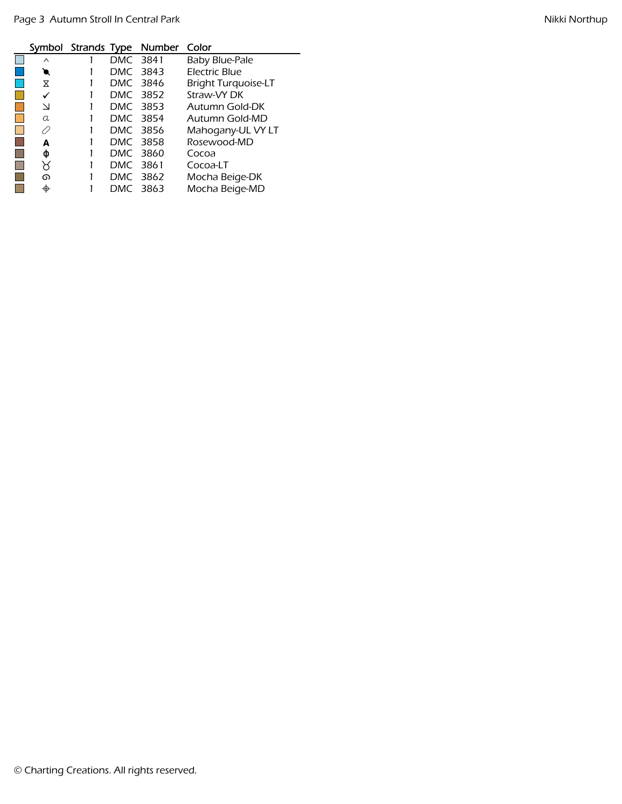|          |          | Symbol Strands Type Number Color |                            |
|----------|----------|----------------------------------|----------------------------|
| $\wedge$ | DMC 3841 |                                  | Baby Blue-Pale             |
| €        |          | DMC 3843                         | Electric Blue              |
| X        |          | DMC 3846                         | <b>Bright Turquoise-LT</b> |
| ✓        |          | DMC 3852                         | Straw-VY DK                |
| $\vee$   |          | DMC 3853                         | Autumn Gold-DK             |
| a        |          | DMC 3854                         | Autumn Gold-MD             |
| Ω        |          | DMC 3856                         | Mahogany-UL VY LT          |
| А        |          | DMC 3858                         | Rosewood-MD                |
| Ф        | DMC 3860 |                                  | Cocoa                      |
| Χ        | DMC 3861 |                                  | Cocoa-LT                   |
| ൈ        |          | DMC 3862                         | Mocha Beige-DK             |
| ⊕        | DMC 3863 |                                  | Mocha Beige-MD             |

L,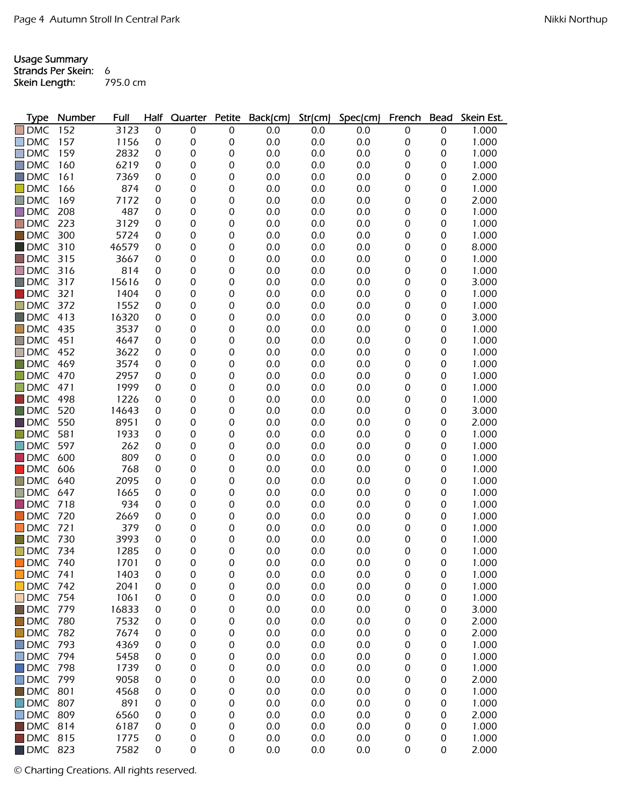Usage Summary

Strands Per Skein: 6<br>Skein Length: 795.0 cm Skein Length:

| <b>Type</b>            | Number | Full  | Half             | Quarter | <b>Petite</b> | Back(cm) | Str(cm) | Spec(cm) | French | <b>Bead</b>      | Skein Est. |
|------------------------|--------|-------|------------------|---------|---------------|----------|---------|----------|--------|------------------|------------|
| $\Box$ DMC             | 152    | 3123  | 0                | 0       | 0             | 0.0      | 0.0     | 0.0      | 0      | 0                | 1.000      |
| l IDMC                 | 157    | 1156  | 0                | 0       | 0             | 0.0      | 0.0     | 0.0      | 0      | 0                | 1.000      |
| $\Box$ DMC             | 159    | 2832  | 0                | 0       | 0             | 0.0      | 0.0     | 0.0      | 0      | 0                | 1.000      |
| <b>DMC</b>             | 160    | 6219  | 0                | 0       | 0             | 0.0      | 0.0     | 0.0      | 0      | 0                | 1.000      |
| <b>DMC</b>             | 161    | 7369  | 0                | 0       | 0             | 0.0      | 0.0     | 0.0      | 0      | 0                | 2.000      |
| <b>DMC</b>             | 166    | 874   | 0                | 0       | 0             | 0.0      | 0.0     | 0.0      | 0      | 0                | 1.000      |
| <b>DMC</b>             | 169    | 7172  | 0                | 0       | 0             | 0.0      | 0.0     | 0.0      | 0      | 0                | 2.000      |
| $\square$ DMC          | 208    | 487   | 0                | 0       | 0             | 0.0      | 0.0     | 0.0      | 0      | 0                | 1.000      |
| <b>DMC</b>             | 223    | 3129  | 0                | 0       | 0             | 0.0      | 0.0     | 0.0      | 0      | 0                | 1.000      |
| <b>DMC</b><br>$\sim$   | 300    | 5724  | 0                | 0       | 0             | 0.0      | 0.0     | 0.0      | 0      | 0                | 1.000      |
| <b>DMC</b>             | 310    | 46579 | 0                | 0       | 0             | 0.0      | 0.0     | 0.0      | 0      | 0                | 8.000      |
| $\Box$ DMC             | 315    | 3667  | 0                | 0       | 0             | 0.0      | 0.0     | 0.0      | 0      | 0                | 1.000      |
| $\Box$ DMC             | 316    | 814   | 0                | 0       | 0             | 0.0      | 0.0     | 0.0      | 0      | 0                | 1.000      |
| $\blacksquare$ DMC     | 317    | 15616 | 0                | 0       | 0             | 0.0      | 0.0     | 0.0      | 0      | 0                | 3.000      |
| <b>DMC</b>             | 321    | 1404  | 0                | 0       | 0             | 0.0      | 0.0     | 0.0      | 0      | 0                | 1.000      |
| <b>DMC</b>             | 372    | 1552  | 0                | 0       | 0             | 0.0      | 0.0     | 0.0      | 0      | 0                | 1.000      |
| <b>DMC</b>             | 413    | 16320 | 0                | 0       | 0             | 0.0      | 0.0     | 0.0      | 0      | 0                | 3.000      |
| <b>DMC</b>             | 435    | 3537  | 0                | 0       | 0             | 0.0      | 0.0     | 0.0      | 0      | 0                | 1.000      |
| <b>DMC</b>             | 451    | 4647  | 0                | 0       | 0             | 0.0      | 0.0     | 0.0      | 0      | 0                | 1.000      |
| <b>DMC</b>             | 452    | 3622  | 0                | 0       | 0             | 0.0      | 0.0     | 0.0      | 0      | 0                | 1.000      |
| $\blacksquare$ DMC     | 469    | 3574  | 0                | 0       | 0             | 0.0      | 0.0     | 0.0      | 0      | $\boldsymbol{0}$ | 1.000      |
| $\Box$ DMC             | 470    | 2957  | 0                | 0       | 0             | 0.0      | 0.0     | 0.0      | 0      | $\boldsymbol{0}$ | 1.000      |
| <b>DMC</b>             | 471    | 1999  | 0                | 0       | 0             | 0.0      | 0.0     | 0.0      | 0      | 0                | 1.000      |
| <b>DMC</b>             | 498    | 1226  | 0                | 0       | 0             | 0.0      | 0.0     | 0.0      | 0      | 0                | 1.000      |
| <b>DMC</b>             | 520    | 14643 | 0                | 0       | 0             | 0.0      | 0.0     | 0.0      | 0      | 0                | 3.000      |
| <b>IDMC</b>            | 550    | 8951  | 0                | 0       | 0             | 0.0      | 0.0     | 0.0      | 0      | 0                | 2.000      |
| $\blacksquare$ DMC     | 581    | 1933  | 0                | 0       | 0             | 0.0      | 0.0     | 0.0      | 0      | 0                | 1.000      |
| <b>DMC</b>             | 597    | 262   | 0                | 0       | 0             | 0.0      | 0.0     | 0.0      | 0      | 0                | 1.000      |
| <b>DMC</b>             | 600    | 809   | 0                | 0       | 0             | 0.0      | 0.0     | 0.0      | 0      | 0                | 1.000      |
| <b>DMC</b>             | 606    | 768   | 0                | 0       | 0             | 0.0      | 0.0     | 0.0      | 0      | 0                | 1.000      |
| <b>DMC</b>             | 640    | 2095  | 0                | 0       | 0             | 0.0      | 0.0     | 0.0      | 0      | 0                | 1.000      |
| <b>DMC</b>             | 647    | 1665  | 0                | 0       | 0             | 0.0      | 0.0     | 0.0      | 0      | 0                | 1.000      |
| <b>DMC</b>             | 718    | 934   | 0                | 0       | 0             | 0.0      | 0.0     | 0.0      | 0      | 0                | 1.000      |
| <b>DMC</b>             | 720    | 2669  | 0                | 0       | 0             | 0.0      | 0.0     | 0.0      | 0      | 0                | 1.000      |
| <b>DMC</b>             | 721    | 379   | 0                | 0       | 0             | 0.0      | 0.0     | 0.0      | 0      | $\boldsymbol{0}$ | 1.000      |
| <b>DMC</b><br>l I      | 730    | 3993  | 0                | 0       | 0             | 0.0      | 0.0     | 0.0      | 0      | 0                | 1.000      |
| $\Box$ DMC             | 734    | 1285  | $\boldsymbol{0}$ | 0       | 0             | 0.0      | 0.0     | 0.0      | 0      | 0                | 1.000      |
| $\Box$ DMC             | 740    | 1701  | 0                | 0       | 0             | 0.0      | 0.0     | 0.0      | 0      | 0                | 1.000      |
| $\Box$ DMC 741         |        | 1403  | 0                | 0       | 0             | 0.0      | 0.0     | 0.0      | 0      | 0                | 1.000      |
| $\Box$ DMC             | 742    | 2041  | 0                | 0       | 0             | 0.0      | 0.0     | 0.0      | 0      | 0                | 1.000      |
| $\Box$ DMC 754         |        | 1061  | 0                | 0       | 0             | 0.0      | 0.0     | 0.0      | 0      | 0                | 1.000      |
| <b>DMC 779</b>         |        | 16833 | 0                | 0       | 0             | 0.0      | 0.0     | 0.0      | 0      | 0                | 3.000      |
| <b>DMC</b>             | 780    | 7532  | 0                | 0       | 0             | 0.0      | 0.0     | 0.0      | 0      | 0                | 2.000      |
| $\Box$ DMC             | 782    | 7674  | 0                | 0       | 0             | 0.0      | 0.0     | 0.0      | 0      | 0                | 2.000      |
| $\Box$ DMC             | 793    | 4369  | 0                | 0       | 0             | 0.0      | 0.0     | 0.0      | 0      | 0                | 1.000      |
| $\Box$ DMC             | 794    | 5458  | 0                | 0       | 0             | 0.0      | 0.0     | 0.0      | 0      | 0                | 1.000      |
| $\Box$ DMC             | 798    | 1739  | 0                | 0       | 0             | 0.0      | 0.0     | 0.0      | 0      | $\boldsymbol{0}$ | 1.000      |
| $\Box$ DMC             | 799    | 9058  | 0                | 0       | 0             | 0.0      | 0.0     | 0.0      | 0      | $\boldsymbol{0}$ | 2.000      |
| $\blacksquare$ DMC     | 801    | 4568  | 0                | 0       | 0             | 0.0      | 0.0     | 0.0      | 0      | 0                | 1.000      |
| <b>DMC 807</b>         |        | 891   | 0                | 0       | 0             | 0.0      | 0.0     | 0.0      | 0      | 0                | 1.000      |
| $\Box$ DMC 809         |        | 6560  | 0                | 0       | 0             | 0.0      | 0.0     | 0.0      | 0      | 0                | 2.000      |
| $\blacksquare$ DMC 814 |        | 6187  | 0                | 0       | 0             | 0.0      | 0.0     | 0.0      | 0      | 0                | 1.000      |
| <b>DMC 815</b>         |        | 1775  | 0                | 0       | 0             | 0.0      | 0.0     | 0.0      | 0      | 0                | 1.000      |
| <b>DMC 823</b>         |        | 7582  | 0                | 0       | 0             | 0.0      | 0.0     | 0.0      | 0      | 0                | 2.000      |
|                        |        |       |                  |         |               |          |         |          |        |                  |            |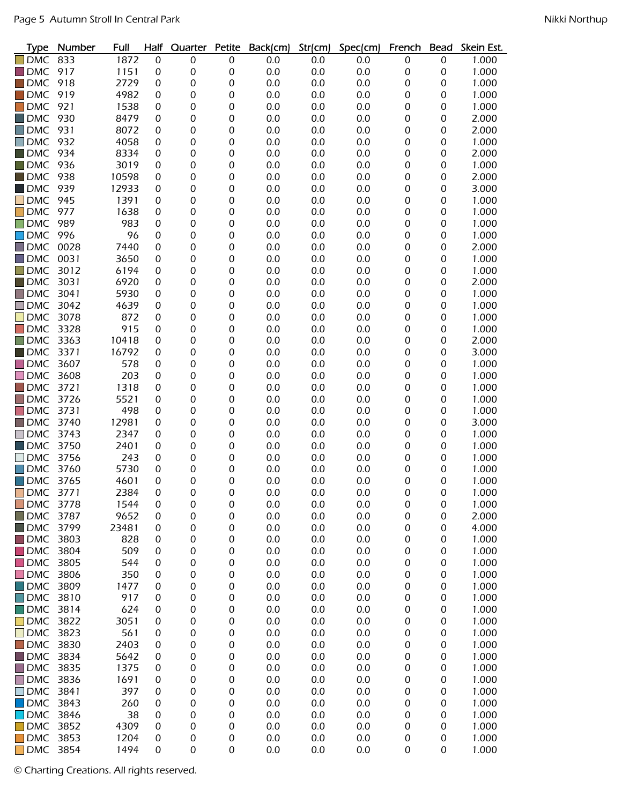| <b>Type</b>        | Number | Full  | Half             | Quarter          | Petite | Back(cm) | Str(cm) | Spec(cm) | French | <b>Bead</b>      | Skein Est. |
|--------------------|--------|-------|------------------|------------------|--------|----------|---------|----------|--------|------------------|------------|
| <b>DMC</b>         | 833    | 1872  | $\boldsymbol{0}$ | 0                | 0      | 0.0      | 0.0     | 0.0      | 0      | $\boldsymbol{0}$ | 1.000      |
| <b>DMC</b>         | 917    | 1151  | 0                | 0                | 0      | 0.0      | 0.0     | 0.0      | 0      | 0                | 1.000      |
| <b>DMC</b>         | 918    | 2729  | 0                | 0                | 0      | 0.0      | 0.0     | 0.0      | 0      | 0                | 1.000      |
| <b>DMC</b>         | 919    | 4982  | 0                | 0                | 0      | 0.0      | 0.0     | 0.0      | 0      | $\boldsymbol{0}$ | 1.000      |
| <b>DMC</b>         | 921    | 1538  | 0                | 0                | 0      | 0.0      | 0.0     | 0.0      | 0      | $\boldsymbol{0}$ | 1.000      |
| $\blacksquare$ DMC | 930    | 8479  | 0                | 0                | 0      | 0.0      | 0.0     | 0.0      | 0      | 0                | 2.000      |
| <b>DMC</b>         | 931    | 8072  | 0                | 0                | 0      | 0.0      | 0.0     | 0.0      | 0      | 0                | 2.000      |
| <b>DMC</b>         | 932    | 4058  | 0                | 0                | 0      | 0.0      | 0.0     | 0.0      | 0      | $\mathbf 0$      | 1.000      |
| $\blacksquare$ DMC | 934    | 8334  | 0                | 0                | 0      | 0.0      | 0.0     | 0.0      | 0      | 0                | 2.000      |
| $\blacksquare$ DMC | 936    | 3019  | 0                | 0                | 0      | 0.0      | 0.0     | 0.0      | 0      | $\mathbf 0$      | 1.000      |
| <b>DMC</b>         | 938    | 10598 | 0                | 0                | 0      | 0.0      | 0.0     | 0.0      | 0      | $\mathbf 0$      | 2.000      |
| <b>DMC</b>         | 939    | 12933 | 0                | 0                | 0      | 0.0      | 0.0     | 0.0      | 0      | 0                | 3.000      |
| <b>DMC</b>         | 945    | 1391  | 0                | 0                | 0      | 0.0      | 0.0     | 0.0      | 0      | 0                | 1.000      |
| <b>DMC</b>         | 977    | 1638  | 0                | 0                | 0      | 0.0      | 0.0     | 0.0      | 0      | 0                | 1.000      |
| <b>DMC</b>         | 989    | 983   | 0                | 0                | 0      | 0.0      | 0.0     | 0.0      | 0      | 0                | 1.000      |
| <b>DMC</b>         | 996    | 96    | 0                | 0                | 0      | 0.0      | 0.0     | 0.0      | 0      | $\boldsymbol{0}$ | 1.000      |
| <b>DMC</b>         | 0028   | 7440  | 0                | 0                | 0      | 0.0      | 0.0     | 0.0      | 0      | $\boldsymbol{0}$ | 2.000      |
| <b>DMC</b>         | 0031   | 3650  | 0                | 0                | 0      | 0.0      | 0.0     | 0.0      | 0      | $\boldsymbol{0}$ | 1.000      |
| <b>DMC</b>         | 3012   | 6194  | 0                | 0                | 0      | 0.0      | 0.0     | 0.0      | 0      | 0                | 1.000      |
| $\blacksquare$ DMC | 3031   | 6920  | 0                | 0                | 0      | 0.0      | 0.0     | 0.0      | 0      | 0                | 2.000      |
| $\blacksquare$ DMC | 3041   | 5930  | 0                | 0                | 0      | 0.0      | 0.0     | 0.0      | 0      | 0                | 1.000      |
| $\Box$ DMC         | 3042   | 4639  | 0                | 0                | 0      | 0.0      | 0.0     | 0.0      | 0      | 0                | 1.000      |
| <b>DMC</b>         | 3078   | 872   | 0                | 0                | 0      | 0.0      | 0.0     | 0.0      | 0      | 0                | 1.000      |
| <b>DMC</b>         | 3328   | 915   | 0                | 0                | 0      | 0.0      | 0.0     | 0.0      | 0      | 0                | 1.000      |
| <b>DMC</b>         | 3363   | 10418 | 0                | 0                | 0      | 0.0      | 0.0     | 0.0      | 0      | 0                | 2.000      |
| <b>DMC</b>         | 3371   | 16792 | 0                | 0                | 0      | 0.0      | 0.0     | 0.0      | 0      | 0                | 3.000      |
| <b>DMC</b>         | 3607   | 578   | 0                | 0                | 0      | 0.0      | 0.0     | 0.0      | 0      | 0                | 1.000      |
| <b>DMC</b>         | 3608   | 203   | 0                | 0                | 0      | 0.0      | 0.0     | 0.0      | 0      | 0                | 1.000      |
| <b>DMC</b>         | 3721   | 1318  | 0                | 0                | 0      | 0.0      | 0.0     | 0.0      | 0      | 0                | 1.000      |
| <b>DMC</b>         | 3726   | 5521  | 0                | 0                | 0      | 0.0      | 0.0     | 0.0      | 0      | 0                | 1.000      |
| <b>DMC</b>         | 3731   | 498   | 0                | 0                | 0      | 0.0      | 0.0     | 0.0      | 0      | 0                | 1.000      |
| $\Box$ DMC         | 3740   | 12981 | 0                | 0                | 0      | 0.0      | 0.0     | 0.0      | 0      | 0                | 3.000      |
| <b>DMC</b>         | 3743   | 2347  | 0                | 0                | 0      | 0.0      | 0.0     | 0.0      | 0      | $\mathbf 0$      | 1.000      |
| $\blacksquare$ DMC | 3750   | 2401  | 0                | 0                | 0      | 0.0      | 0.0     | 0.0      | 0      | 0                | 1.000      |
| <b>DMC</b>         | 3756   | 243   | 0                | 0                | 0      | 0.0      | 0.0     | 0.0      | 0      | 0                | 1.000      |
| <b>DMC</b>         | 3760   | 5730  | 0                | 0                | 0      | 0.0      | 0.0     | 0.0      | 0      | 0                | 1.000      |
| <b>DMC</b>         | 3765   | 4601  | 0                | 0                | 0      | 0.0      | 0.0     | 0.0      | 0      | 0                | 1.000      |
| <b>DMC</b>         | 3771   | 2384  | 0                | 0                | 0      | 0.0      | 0.0     | 0.0      | 0      | 0                | 1.000      |
| <b>DMC</b>         | 3778   | 1544  | 0                | 0                | 0      | 0.0      | 0.0     | 0.0      | 0      | $\boldsymbol{0}$ | 1.000      |
| $\blacksquare$ DMC | 3787   | 9652  | 0                | 0                | 0      | 0.0      | 0.0     | 0.0      | 0      | 0                | 2.000      |
| <b>DMC</b>         | 3799   | 23481 | 0                | 0                | 0      | 0.0      | 0.0     | 0.0      | 0      | 0                | 4.000      |
| $\blacksquare$ DMC | 3803   | 828   | 0                | 0                | 0      | 0.0      | 0.0     | 0.0      | 0      | 0                | 1.000      |
| $\blacksquare$ DMC | 3804   | 509   | 0                | 0                | 0      | 0.0      | 0.0     | 0.0      | 0      | 0                | 1.000      |
| <b>DMC</b><br>H    | 3805   | 544   | 0                | 0                | 0      | 0.0      | 0.0     | 0.0      | 0      | 0                | 1.000      |
| $\Box$ DMC         | 3806   | 350   | 0                | 0                | 0      | 0.0      | 0.0     | 0.0      | 0      | 0                | 1.000      |
| $\Box$ DMC         | 3809   | 1477  | 0                | 0                | 0      | 0.0      | 0.0     | 0.0      | 0      | 0                | 1.000      |
| $\Box$ DMC         | 3810   | 917   | 0                | 0                | 0      | 0.0      | 0.0     | 0.0      | 0      | 0                | 1.000      |
| <b>DMC</b>         | 3814   | 624   | 0                | 0                | 0      | 0.0      | 0.0     | 0.0      | 0      | 0                | 1.000      |
| <b>DMC</b>         | 3822   | 3051  | 0                | 0                | 0      | 0.0      | 0.0     | 0.0      | 0      | 0                | 1.000      |
| <b>DMC</b>         | 3823   | 561   | 0                | 0                | 0      | 0.0      | 0.0     | 0.0      | 0      | 0                | 1.000      |
| <b>DMC</b>         | 3830   | 2403  | 0                | 0                | 0      | 0.0      | 0.0     | 0.0      | 0      | 0                | 1.000      |
| <b>DMC</b>         | 3834   | 5642  | 0                | 0                | 0      | 0.0      | 0.0     | 0.0      | 0      | 0                | 1.000      |
| $\Box$ DMC         | 3835   | 1375  | 0                | 0                | 0      | 0.0      | 0.0     | 0.0      | 0      | 0                | 1.000      |
| <b>DMC</b>         | 3836   | 1691  | 0                | $\boldsymbol{0}$ | 0      | 0.0      | 0.0     | 0.0      | 0      | 0                | 1.000      |
| <b>DMC</b>         | 3841   | 397   | 0                | 0                | 0      | 0.0      | 0.0     | 0.0      | 0      | 0                | 1.000      |
| <b>DMC</b>         | 3843   | 260   | 0                | 0                | 0      | 0.0      | 0.0     | 0.0      | 0      | 0                | 1.000      |
| $\Box$ DMC         | 3846   | 38    | 0                | 0                | 0      | 0.0      | 0.0     | 0.0      | 0      | 0                | 1.000      |
| <b>DMC</b>         | 3852   | 4309  | 0                | 0                | 0      | 0.0      | 0.0     | 0.0      | 0      | 0                | 1.000      |
| <b>DMC</b>         | 3853   | 1204  | 0                | 0                | 0      | 0.0      | 0.0     | 0.0      | 0      | 0                | 1.000      |
| <b>DMC</b>         | 3854   | 1494  | 0                | 0                | 0      | 0.0      | 0.0     | 0.0      | 0      | 0                | 1.000      |